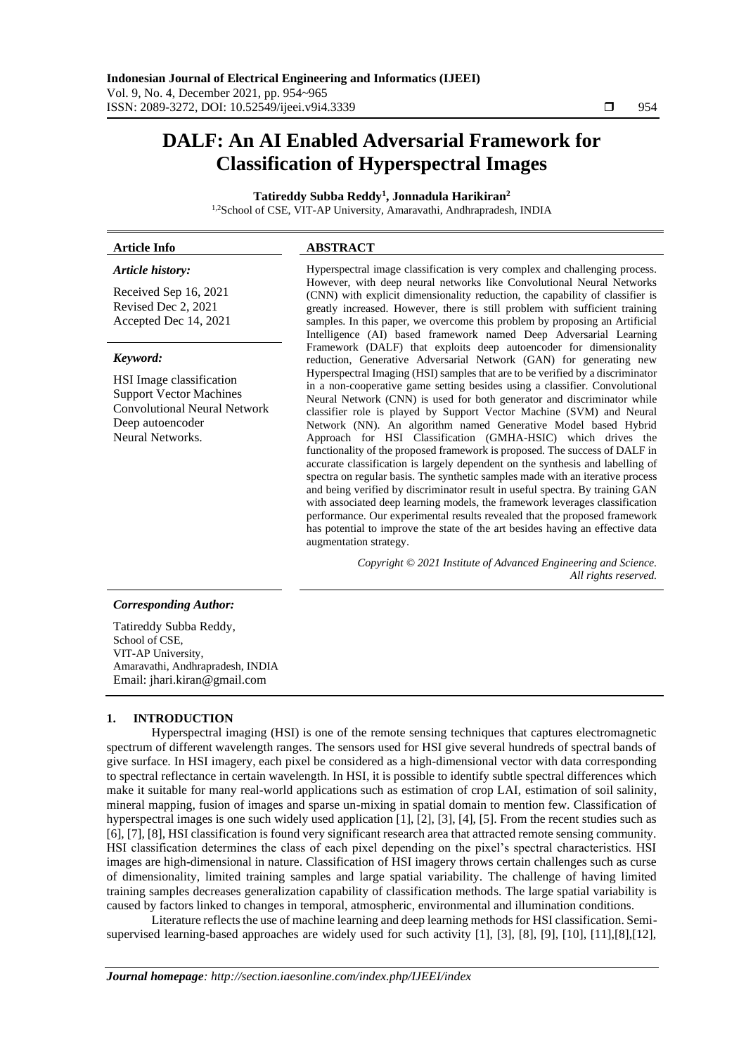# **DALF: An AI Enabled Adversarial Framework for Classification of Hyperspectral Images**

**Tatireddy Subba Reddy<sup>1</sup> , Jonnadula Harikiran<sup>2</sup>**

1,2School of CSE, VIT-AP University, Amaravathi, Andhrapradesh, INDIA

# **Article Info ABSTRACT**

*Article history:*

Received Sep 16, 2021 Revised Dec 2, 2021 Accepted Dec 14, 2021

### *Keyword:*

HSI Image classification Support Vector Machines Convolutional Neural Network Deep autoencoder Neural Networks.

Hyperspectral image classification is very complex and challenging process. However, with deep neural networks like Convolutional Neural Networks (CNN) with explicit dimensionality reduction, the capability of classifier is greatly increased. However, there is still problem with sufficient training samples. In this paper, we overcome this problem by proposing an Artificial Intelligence (AI) based framework named Deep Adversarial Learning Framework (DALF) that exploits deep autoencoder for dimensionality reduction, Generative Adversarial Network (GAN) for generating new Hyperspectral Imaging (HSI) samples that are to be verified by a discriminator in a non-cooperative game setting besides using a classifier. Convolutional Neural Network (CNN) is used for both generator and discriminator while classifier role is played by Support Vector Machine (SVM) and Neural Network (NN). An algorithm named Generative Model based Hybrid Approach for HSI Classification (GMHA-HSIC) which drives the functionality of the proposed framework is proposed. The success of DALF in accurate classification is largely dependent on the synthesis and labelling of spectra on regular basis. The synthetic samples made with an iterative process and being verified by discriminator result in useful spectra. By training GAN with associated deep learning models, the framework leverages classification performance. Our experimental results revealed that the proposed framework has potential to improve the state of the art besides having an effective data augmentation strategy.

> *Copyright © 2021 Institute of Advanced Engineering and Science. All rights reserved.*

# *Corresponding Author:*

Tatireddy Subba Reddy, School of CSE. VIT-AP University, Amaravathi, Andhrapradesh, INDIA Email: jhari.kiran@gmail.com

# **1. INTRODUCTION**

Hyperspectral imaging (HSI) is one of the remote sensing techniques that captures electromagnetic spectrum of different wavelength ranges. The sensors used for HSI give several hundreds of spectral bands of give surface. In HSI imagery, each pixel be considered as a high-dimensional vector with data corresponding to spectral reflectance in certain wavelength. In HSI, it is possible to identify subtle spectral differences which make it suitable for many real-world applications such as estimation of crop LAI, estimation of soil salinity, mineral mapping, fusion of images and sparse un-mixing in spatial domain to mention few. Classification of hyperspectral images is one such widely used application [1], [2], [3], [4], [5]. From the recent studies such as [6], [7], [8], HSI classification is found very significant research area that attracted remote sensing community. HSI classification determines the class of each pixel depending on the pixel's spectral characteristics. HSI images are high-dimensional in nature. Classification of HSI imagery throws certain challenges such as curse of dimensionality, limited training samples and large spatial variability. The challenge of having limited training samples decreases generalization capability of classification methods. The large spatial variability is caused by factors linked to changes in temporal, atmospheric, environmental and illumination conditions.

Literature reflects the use of machine learning and deep learning methods for HSI classification. Semisupervised learning-based approaches are widely used for such activity [1], [3], [8], [9], [10], [11],[8],[12],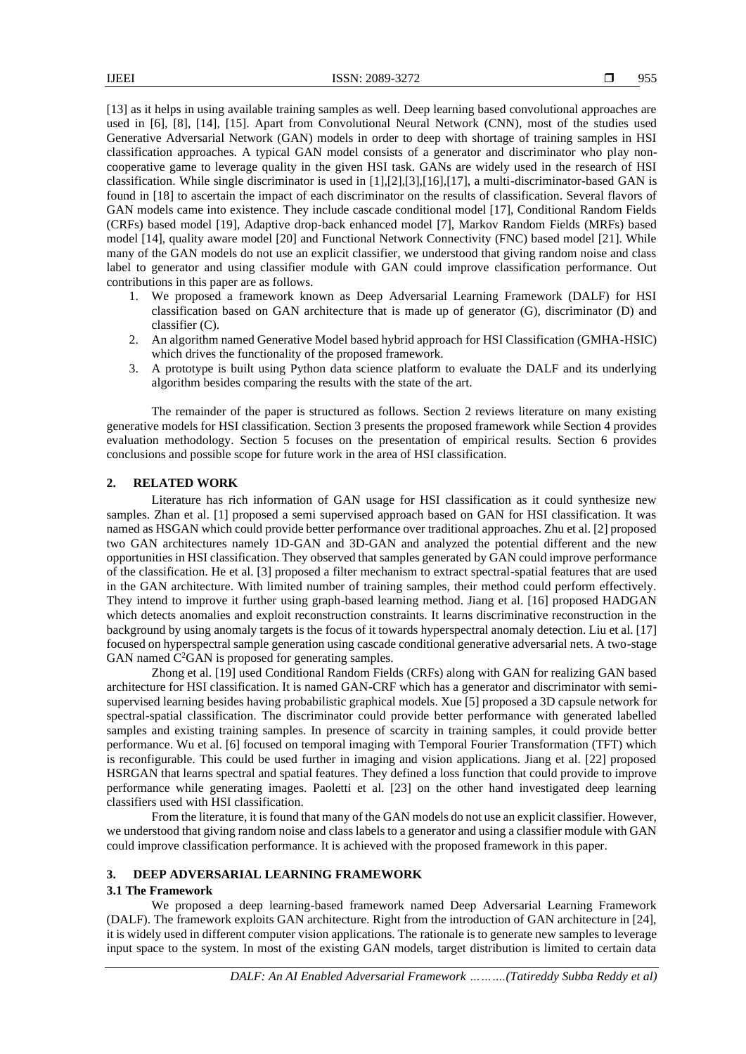[13] as it helps in using available training samples as well. Deep learning based convolutional approaches are used in [6], [8], [14], [15]. Apart from Convolutional Neural Network (CNN), most of the studies used Generative Adversarial Network (GAN) models in order to deep with shortage of training samples in HSI classification approaches. A typical GAN model consists of a generator and discriminator who play noncooperative game to leverage quality in the given HSI task. GANs are widely used in the research of HSI classification. While single discriminator is used in [1],[2],[3],[16],[17], a multi-discriminator-based GAN is found in [18] to ascertain the impact of each discriminator on the results of classification. Several flavors of GAN models came into existence. They include cascade conditional model [17], Conditional Random Fields (CRFs) based model [19], Adaptive drop-back enhanced model [7], Markov Random Fields (MRFs) based model [14], quality aware model [20] and Functional Network Connectivity (FNC) based model [21]. While many of the GAN models do not use an explicit classifier, we understood that giving random noise and class label to generator and using classifier module with GAN could improve classification performance. Out contributions in this paper are as follows.

- 1. We proposed a framework known as Deep Adversarial Learning Framework (DALF) for HSI classification based on GAN architecture that is made up of generator (G), discriminator (D) and classifier (C).
- 2. An algorithm named Generative Model based hybrid approach for HSI Classification (GMHA-HSIC) which drives the functionality of the proposed framework.
- 3. A prototype is built using Python data science platform to evaluate the DALF and its underlying algorithm besides comparing the results with the state of the art.

The remainder of the paper is structured as follows. Section 2 reviews literature on many existing generative models for HSI classification. Section 3 presents the proposed framework while Section 4 provides evaluation methodology. Section 5 focuses on the presentation of empirical results. Section 6 provides conclusions and possible scope for future work in the area of HSI classification.

#### **2. RELATED WORK**

Literature has rich information of GAN usage for HSI classification as it could synthesize new samples. Zhan et al. [1] proposed a semi supervised approach based on GAN for HSI classification. It was named as HSGAN which could provide better performance over traditional approaches. Zhu et al. [2] proposed two GAN architectures namely 1D-GAN and 3D-GAN and analyzed the potential different and the new opportunities in HSI classification. They observed that samples generated by GAN could improve performance of the classification. He et al. [3] proposed a filter mechanism to extract spectral-spatial features that are used in the GAN architecture. With limited number of training samples, their method could perform effectively. They intend to improve it further using graph-based learning method. Jiang et al. [16] proposed HADGAN which detects anomalies and exploit reconstruction constraints. It learns discriminative reconstruction in the background by using anomaly targets is the focus of it towards hyperspectral anomaly detection. Liu et al. [17] focused on hyperspectral sample generation using cascade conditional generative adversarial nets. A two-stage GAN named  $C^2GAN$  is proposed for generating samples.

Zhong et al. [19] used Conditional Random Fields (CRFs) along with GAN for realizing GAN based architecture for HSI classification. It is named GAN-CRF which has a generator and discriminator with semisupervised learning besides having probabilistic graphical models. Xue [5] proposed a 3D capsule network for spectral-spatial classification. The discriminator could provide better performance with generated labelled samples and existing training samples. In presence of scarcity in training samples, it could provide better performance. Wu et al. [6] focused on temporal imaging with Temporal Fourier Transformation (TFT) which is reconfigurable. This could be used further in imaging and vision applications. Jiang et al. [22] proposed HSRGAN that learns spectral and spatial features. They defined a loss function that could provide to improve performance while generating images. Paoletti et al. [23] on the other hand investigated deep learning classifiers used with HSI classification.

From the literature, it is found that many of the GAN models do not use an explicit classifier. However, we understood that giving random noise and class labels to a generator and using a classifier module with GAN could improve classification performance. It is achieved with the proposed framework in this paper.

# **3. DEEP ADVERSARIAL LEARNING FRAMEWORK**

#### **3.1 The Framework**

We proposed a deep learning-based framework named Deep Adversarial Learning Framework (DALF). The framework exploits GAN architecture. Right from the introduction of GAN architecture in [24], it is widely used in different computer vision applications. The rationale is to generate new samples to leverage input space to the system. In most of the existing GAN models, target distribution is limited to certain data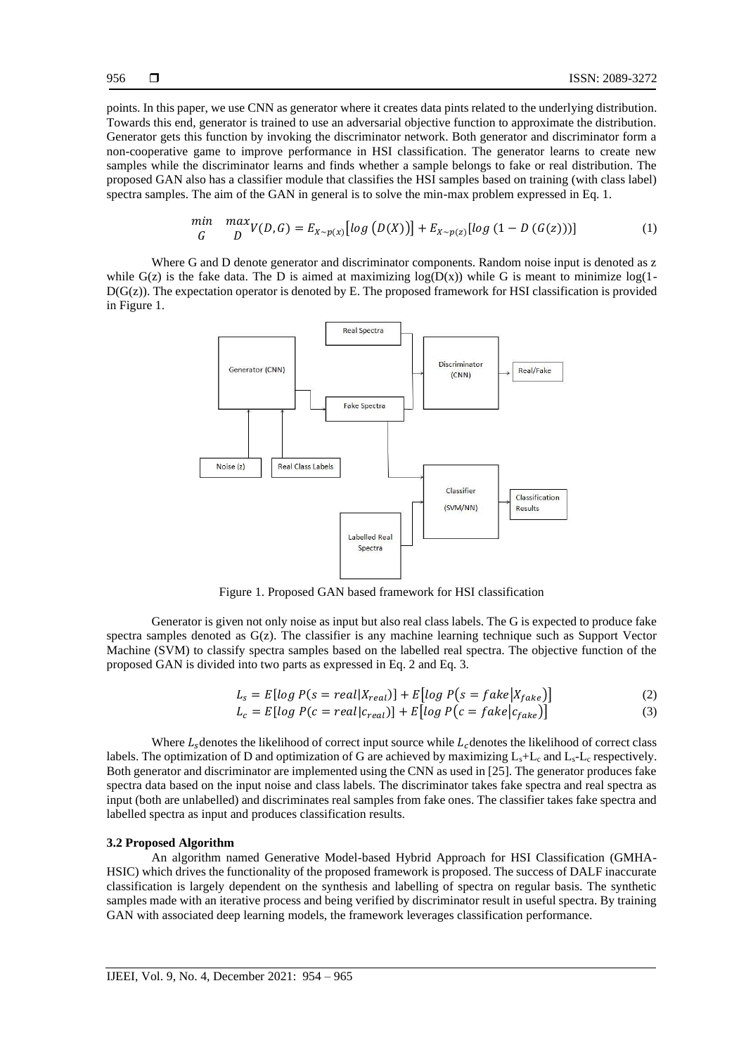points. In this paper, we use CNN as generator where it creates data pints related to the underlying distribution. Towards this end, generator is trained to use an adversarial objective function to approximate the distribution. Generator gets this function by invoking the discriminator network. Both generator and discriminator form a non-cooperative game to improve performance in HSI classification. The generator learns to create new samples while the discriminator learns and finds whether a sample belongs to fake or real distribution. The proposed GAN also has a classifier module that classifies the HSI samples based on training (with class label) spectra samples. The aim of the GAN in general is to solve the min-max problem expressed in Eq. 1.

$$
\begin{array}{ll}\n\min & \max_{G} \sum_{y} p(y, G) = E_{X \sim p(x)}[log(D(X))] + E_{X \sim p(z)}[log(1 - D(G(z)))] & (1)\n\end{array}
$$

Where G and D denote generator and discriminator components. Random noise input is denoted as z while  $G(z)$  is the fake data. The D is aimed at maximizing  $log(D(x))$  while G is meant to minimize  $log(1-\frac{1}{2})$  $D(G(z))$ . The expectation operator is denoted by E. The proposed framework for HSI classification is provided in Figure 1.



Figure 1. Proposed GAN based framework for HSI classification

Generator is given not only noise as input but also real class labels. The G is expected to produce fake spectra samples denoted as  $G(z)$ . The classifier is any machine learning technique such as Support Vector Machine (SVM) to classify spectra samples based on the labelled real spectra. The objective function of the proposed GAN is divided into two parts as expressed in Eq. 2 and Eq. 3.

$$
L_s = E[log P(s = real|X_{real})] + E[log P(s = fake|X_{fake})]
$$
\n(2)

$$
L_c = E[log P(c = real | c_{real})] + E[log P(c = fake | c_{fake})]
$$
\n(3)

Where  $L<sub>s</sub>$  denotes the likelihood of correct input source while  $L<sub>c</sub>$  denotes the likelihood of correct class labels. The optimization of D and optimization of G are achieved by maximizing  $L_s + L_c$  and  $L_s - L_c$  respectively. Both generator and discriminator are implemented using the CNN as used in [25]. The generator produces fake spectra data based on the input noise and class labels. The discriminator takes fake spectra and real spectra as input (both are unlabelled) and discriminates real samples from fake ones. The classifier takes fake spectra and labelled spectra as input and produces classification results.

#### **3.2 Proposed Algorithm**

An algorithm named Generative Model-based Hybrid Approach for HSI Classification (GMHA-HSIC) which drives the functionality of the proposed framework is proposed. The success of DALF inaccurate classification is largely dependent on the synthesis and labelling of spectra on regular basis. The synthetic samples made with an iterative process and being verified by discriminator result in useful spectra. By training GAN with associated deep learning models, the framework leverages classification performance.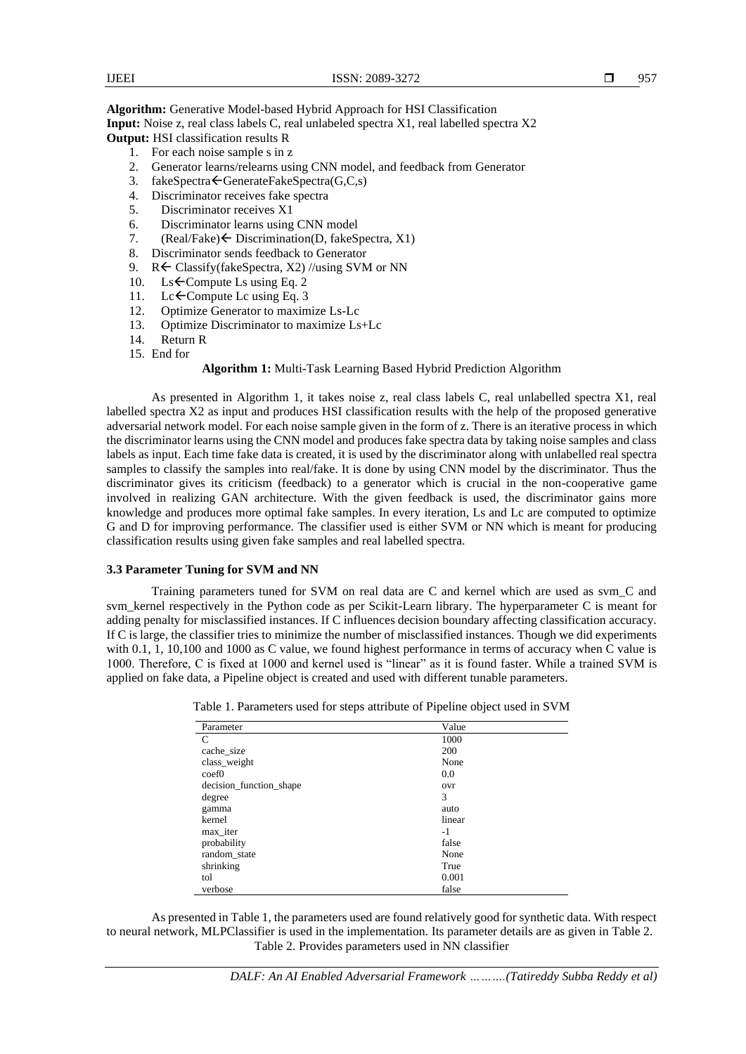**Algorithm:** Generative Model-based Hybrid Approach for HSI Classification

**Input:** Noise z, real class labels C, real unlabeled spectra X1, real labelled spectra X2 **Output:** HSI classification results R

- 1. For each noise sample s in z
- 2. Generator learns/relearns using CNN model, and feedback from Generator
- 3. fakeSpectra $\leftarrow$ GenerateFakeSpectra(G,C,s)
- 4. Discriminator receives fake spectra
- 5. Discriminator receives X1
- 6. Discriminator learns using CNN model<br>7.  $(Real=False) \leftarrow Discription(D, fakeS)$
- $(Real=False) \leftarrow Discrimination(D, fakeSpectra, X1)$
- 8. Discriminator sends feedback to Generator
- 9. R $\leftarrow$  Classify(fakeSpectra, X2) //using SVM or NN
- 10. Ls  $\epsilon$ Compute Ls using Eq. 2<br>11. Lc  $\epsilon$ Compute Lc using Eq. 3
- 11. Lc $\leftarrow$ Compute Lc using Eq. 3<br>12. Optimize Generator to maxim
- 12. Optimize Generator to maximize Ls-Lc<br>13. Optimize Discriminator to maximize Ls
- 13. Optimize Discriminator to maximize Ls+Lc
- 14. Return R
- 15. End for

# **Algorithm 1:** Multi-Task Learning Based Hybrid Prediction Algorithm

As presented in Algorithm 1, it takes noise z, real class labels C, real unlabelled spectra X1, real labelled spectra X2 as input and produces HSI classification results with the help of the proposed generative adversarial network model. For each noise sample given in the form of z. There is an iterative process in which the discriminator learns using the CNN model and produces fake spectra data by taking noise samples and class labels as input. Each time fake data is created, it is used by the discriminator along with unlabelled real spectra samples to classify the samples into real/fake. It is done by using CNN model by the discriminator. Thus the discriminator gives its criticism (feedback) to a generator which is crucial in the non-cooperative game involved in realizing GAN architecture. With the given feedback is used, the discriminator gains more knowledge and produces more optimal fake samples. In every iteration, Ls and Lc are computed to optimize G and D for improving performance. The classifier used is either SVM or NN which is meant for producing classification results using given fake samples and real labelled spectra.

# **3.3 Parameter Tuning for SVM and NN**

Training parameters tuned for SVM on real data are C and kernel which are used as svm\_C and svm\_kernel respectively in the Python code as per Scikit-Learn library. The hyperparameter C is meant for adding penalty for misclassified instances. If C influences decision boundary affecting classification accuracy. If C is large, the classifier tries to minimize the number of misclassified instances. Though we did experiments with 0.1, 1, 10,100 and 1000 as C value, we found highest performance in terms of accuracy when C value is 1000. Therefore, C is fixed at 1000 and kernel used is "linear" as it is found faster. While a trained SVM is applied on fake data, a Pipeline object is created and used with different tunable parameters.

| Parameter               | Value      |  |
|-------------------------|------------|--|
| C                       | 1000       |  |
| cache_size              | <b>200</b> |  |
| class_weight            | None       |  |
| $\mathrm{coeff}0$       | 0.0        |  |
| decision_function_shape | ovr        |  |
| degree                  | 3          |  |
| gamma                   | auto       |  |
| kernel                  | linear     |  |
| max_iter                | $-1$       |  |
| probability             | false      |  |
| random state            | None       |  |
| shrinking               | True       |  |
| tol                     | 0.001      |  |
| verbose                 | false      |  |

Table 1. Parameters used for steps attribute of Pipeline object used in SVM

As presented in Table 1, the parameters used are found relatively good for synthetic data. With respect to neural network, MLPClassifier is used in the implementation. Its parameter details are as given in Table 2. Table 2. Provides parameters used in NN classifier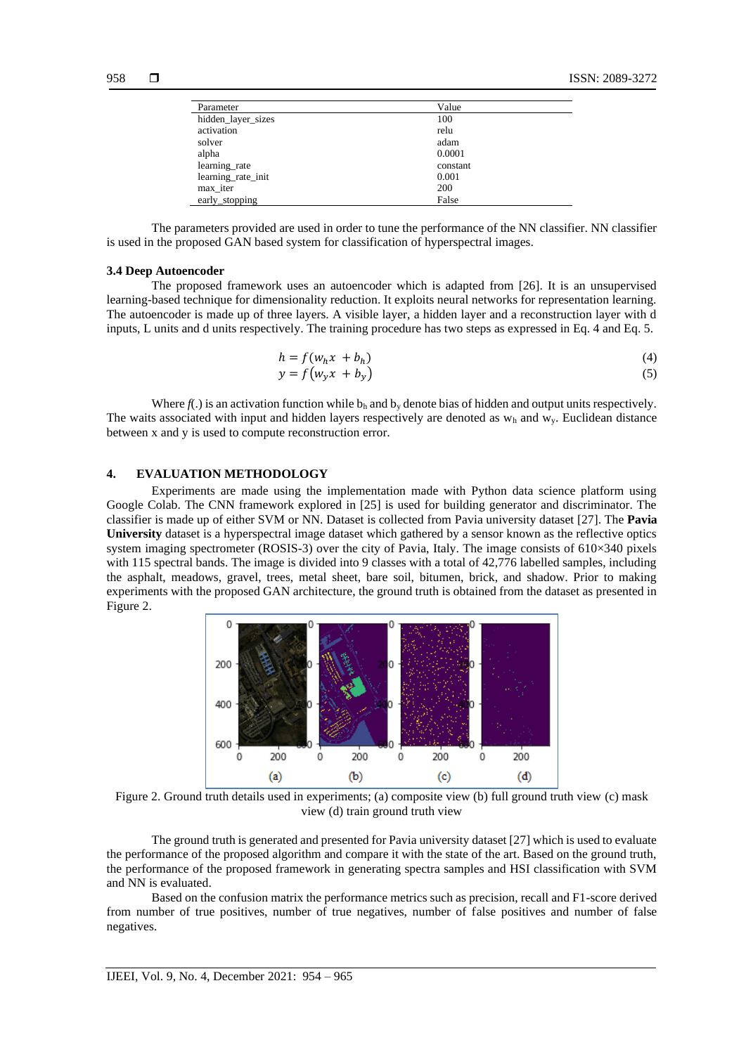| Parameter          | Value    |  |
|--------------------|----------|--|
| hidden_layer_sizes | 100      |  |
| activation         | relu     |  |
| solver             | adam     |  |
| alpha              | 0.0001   |  |
| learning_rate      | constant |  |
| learning_rate_init | 0.001    |  |
| max_iter           | 200      |  |
| early_stopping     | False    |  |

The parameters provided are used in order to tune the performance of the NN classifier. NN classifier is used in the proposed GAN based system for classification of hyperspectral images.

#### **3.4 Deep Autoencoder**

The proposed framework uses an autoencoder which is adapted from [26]. It is an unsupervised learning-based technique for dimensionality reduction. It exploits neural networks for representation learning. The autoencoder is made up of three layers. A visible layer, a hidden layer and a reconstruction layer with d inputs, L units and d units respectively. The training procedure has two steps as expressed in Eq. 4 and Eq. 5.

$$
h = f(w_h x + b_h) \tag{4}
$$

$$
y = f(w_y x + b_y) \tag{5}
$$

Where  $f(.)$  is an activation function while  $b_h$  and  $b_v$  denote bias of hidden and output units respectively. The waits associated with input and hidden layers respectively are denoted as  $w_h$  and  $w_v$ . Euclidean distance between x and y is used to compute reconstruction error.

# **4. EVALUATION METHODOLOGY**

Experiments are made using the implementation made with Python data science platform using Google Colab. The CNN framework explored in [25] is used for building generator and discriminator. The classifier is made up of either SVM or NN. Dataset is collected from Pavia university dataset [27]. The **Pavia University** dataset is a hyperspectral image dataset which gathered by a sensor known as the reflective optics system imaging spectrometer (ROSIS-3) over the city of Pavia, Italy. The image consists of 610×340 pixels with 115 spectral bands. The image is divided into 9 classes with a total of 42,776 labelled samples, including the asphalt, meadows, gravel, trees, metal sheet, bare soil, bitumen, brick, and shadow. Prior to making experiments with the proposed GAN architecture, the ground truth is obtained from the dataset as presented in Figure 2.



Figure 2. Ground truth details used in experiments; (a) composite view (b) full ground truth view (c) mask view (d) train ground truth view

The ground truth is generated and presented for Pavia university dataset [27] which is used to evaluate the performance of the proposed algorithm and compare it with the state of the art. Based on the ground truth, the performance of the proposed framework in generating spectra samples and HSI classification with SVM and NN is evaluated.

Based on the confusion matrix the performance metrics such as precision, recall and F1-score derived from number of true positives, number of true negatives, number of false positives and number of false negatives.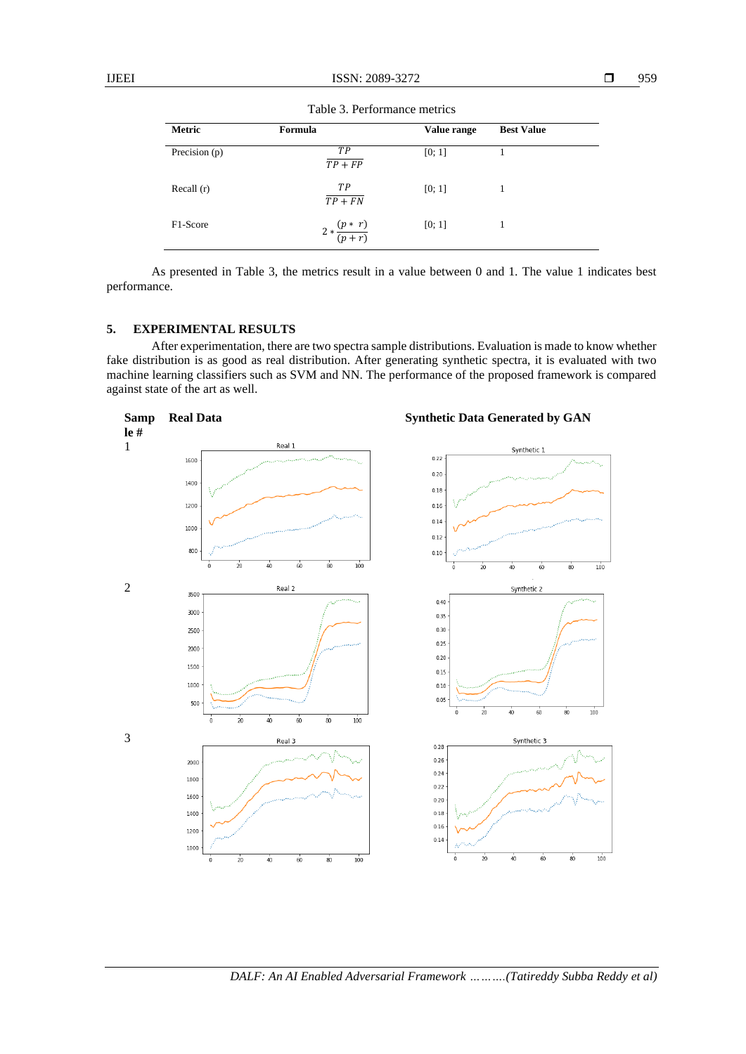| <b>Metric</b> | Formula                 | Value range | <b>Best Value</b> |  |
|---------------|-------------------------|-------------|-------------------|--|
| Precision (p) | <b>TP</b><br>$TP + FP$  | [0; 1]      |                   |  |
| Recall $(r)$  | TP<br>$TP + FN$         | [0; 1]      |                   |  |
| F1-Score      | $2*\frac{(p*r)}{(p+r)}$ | [0; 1]      |                   |  |

Table 3. Performance metrics

As presented in Table 3, the metrics result in a value between 0 and 1. The value 1 indicates best performance.

# **5. EXPERIMENTAL RESULTS**

After experimentation, there are two spectra sample distributions. Evaluation is made to know whether fake distribution is as good as real distribution. After generating synthetic spectra, it is evaluated with two machine learning classifiers such as SVM and NN. The performance of the proposed framework is compared against state of the art as well.

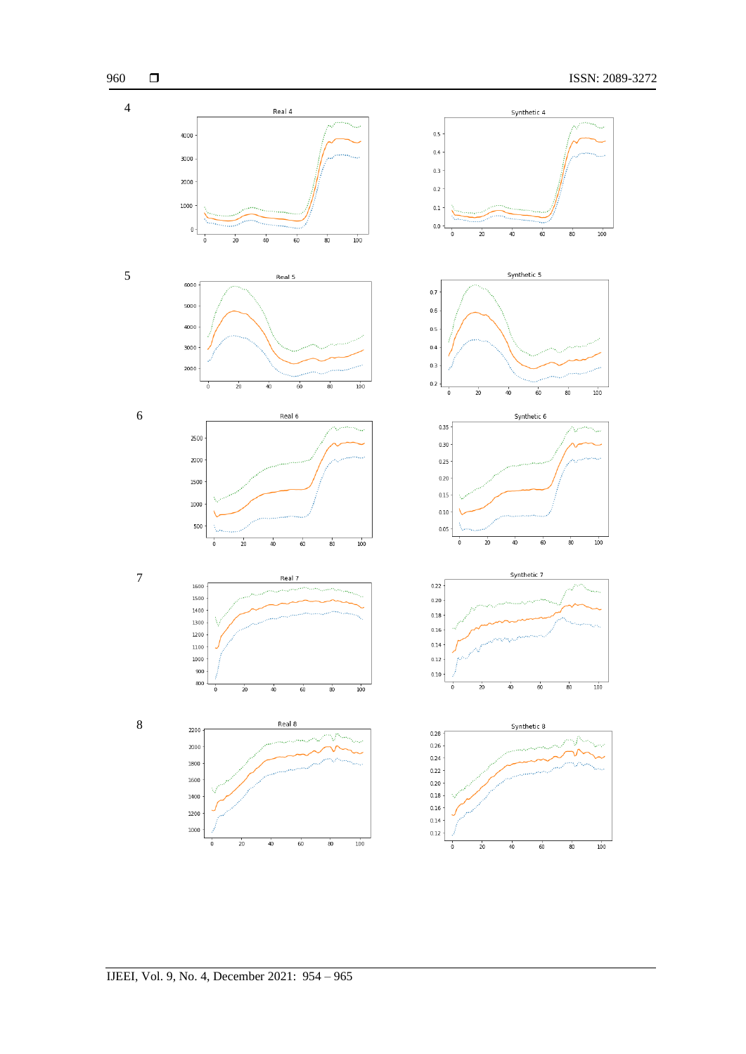

# IJEEI, Vol. 9, No. 4, December 2021: 954 – 965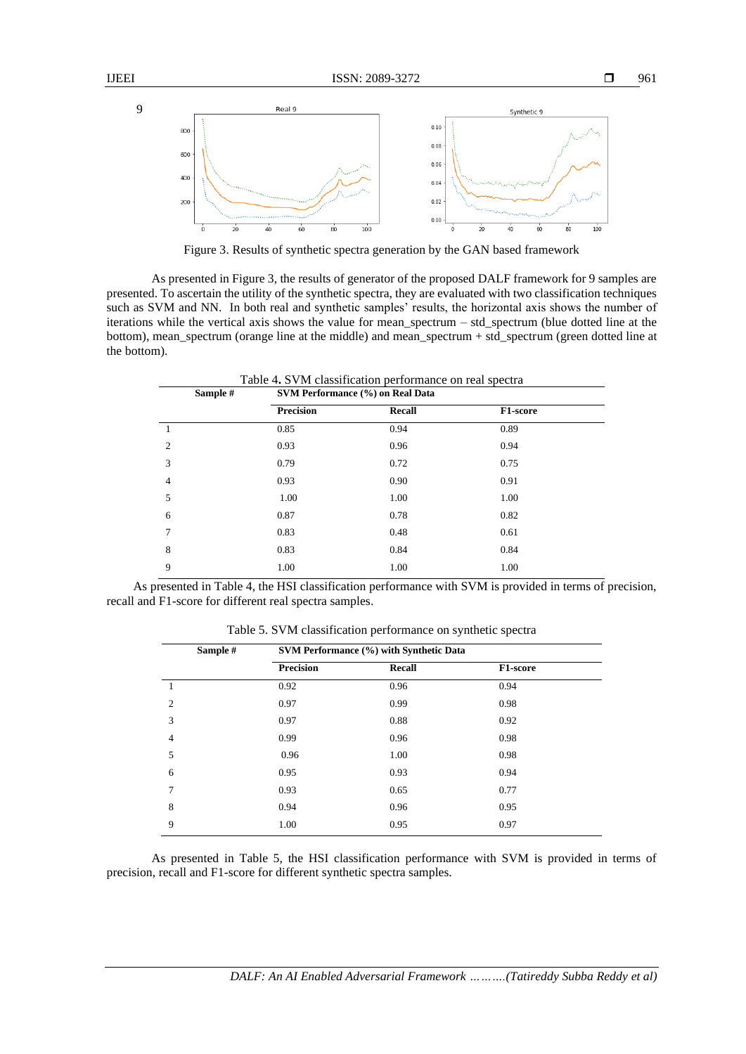

Figure 3. Results of synthetic spectra generation by the GAN based framework

As presented in Figure 3, the results of generator of the proposed DALF framework for 9 samples are presented. To ascertain the utility of the synthetic spectra, they are evaluated with two classification techniques such as SVM and NN. In both real and synthetic samples' results, the horizontal axis shows the number of iterations while the vertical axis shows the value for mean\_spectrum – std\_spectrum (blue dotted line at the bottom), mean spectrum (orange line at the middle) and mean spectrum + std spectrum (green dotted line at the bottom).

| Table 4. SVM classification performance on real spectra<br>Sample #<br>SVM Performance (%) on Real Data |                  |        |          |  |
|---------------------------------------------------------------------------------------------------------|------------------|--------|----------|--|
|                                                                                                         | <b>Precision</b> | Recall | F1-score |  |
|                                                                                                         | 0.85             | 0.94   | 0.89     |  |
| $\overline{c}$                                                                                          | 0.93             | 0.96   | 0.94     |  |
| 3                                                                                                       | 0.79             | 0.72   | 0.75     |  |
| 4                                                                                                       | 0.93             | 0.90   | 0.91     |  |
| 5                                                                                                       | 1.00             | 1.00   | 1.00     |  |
| 6                                                                                                       | 0.87             | 0.78   | 0.82     |  |
| 7                                                                                                       | 0.83             | 0.48   | 0.61     |  |
| 8                                                                                                       | 0.83             | 0.84   | 0.84     |  |
| 9                                                                                                       | 1.00             | 1.00   | 1.00     |  |

As presented in Table 4, the HSI classification performance with SVM is provided in terms of precision, recall and F1-score for different real spectra samples.

| SVM Performance (%) with Synthetic Data |        |          |  |
|-----------------------------------------|--------|----------|--|
| <b>Precision</b>                        | Recall | F1-score |  |
| 0.92                                    | 0.96   | 0.94     |  |
| 0.97                                    | 0.99   | 0.98     |  |
| 0.97                                    | 0.88   | 0.92     |  |
| 0.99                                    | 0.96   | 0.98     |  |
| 0.96                                    | 1.00   | 0.98     |  |
| 0.95                                    | 0.93   | 0.94     |  |
| 0.93                                    | 0.65   | 0.77     |  |
| 0.94                                    | 0.96   | 0.95     |  |
| 1.00                                    | 0.95   | 0.97     |  |
|                                         |        |          |  |

Table 5. SVM classification performance on synthetic spectra

As presented in Table 5, the HSI classification performance with SVM is provided in terms of precision, recall and F1-score for different synthetic spectra samples.

9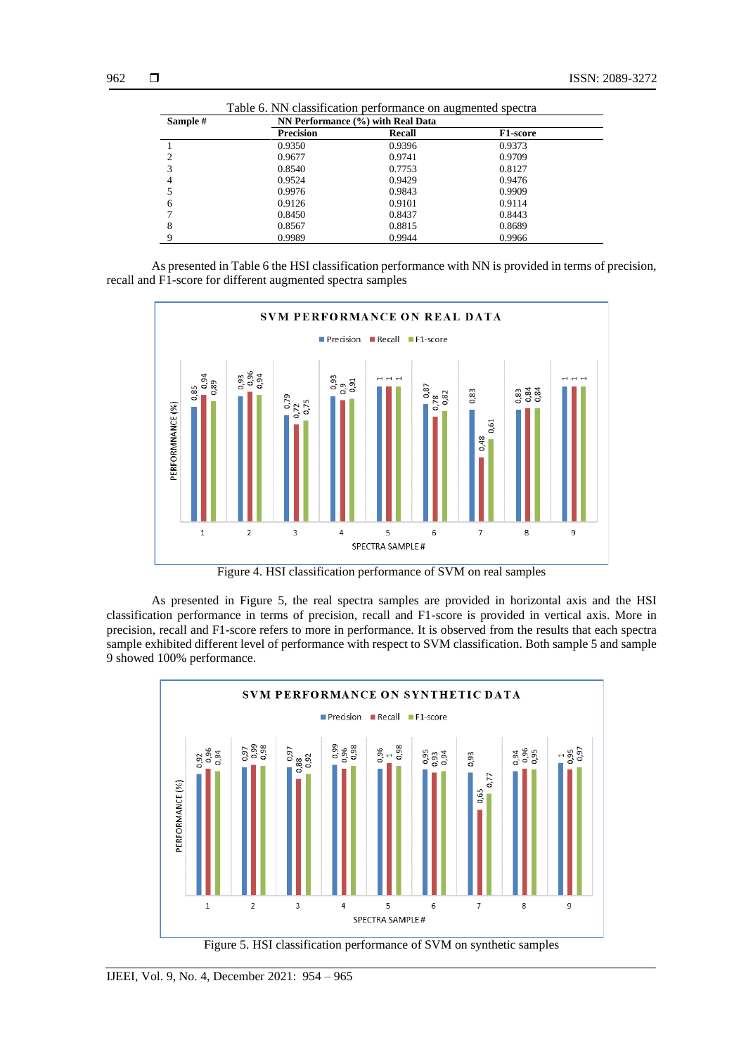| Table 6. NN classification performance on augmented spectra |                                   |               |                 |  |  |
|-------------------------------------------------------------|-----------------------------------|---------------|-----------------|--|--|
| Sample #                                                    | NN Performance (%) with Real Data |               |                 |  |  |
|                                                             | <b>Precision</b>                  | <b>Recall</b> | <b>F1-score</b> |  |  |
|                                                             | 0.9350                            | 0.9396        | 0.9373          |  |  |
|                                                             | 0.9677                            | 0.9741        | 0.9709          |  |  |
|                                                             | 0.8540                            | 0.7753        | 0.8127          |  |  |
|                                                             | 0.9524                            | 0.9429        | 0.9476          |  |  |
|                                                             | 0.9976                            | 0.9843        | 0.9909          |  |  |
| 6                                                           | 0.9126                            | 0.9101        | 0.9114          |  |  |
|                                                             | 0.8450                            | 0.8437        | 0.8443          |  |  |
| 8                                                           | 0.8567                            | 0.8815        | 0.8689          |  |  |
|                                                             | 0.9989                            | 0.9944        | 0.9966          |  |  |

As presented in Table 6 the HSI classification performance with NN is provided in terms of precision, recall and F1-score for different augmented spectra samples



Figure 4. HSI classification performance of SVM on real samples

As presented in Figure 5, the real spectra samples are provided in horizontal axis and the HSI classification performance in terms of precision, recall and F1-score is provided in vertical axis. More in precision, recall and F1-score refers to more in performance. It is observed from the results that each spectra sample exhibited different level of performance with respect to SVM classification. Both sample 5 and sample 9 showed 100% performance.



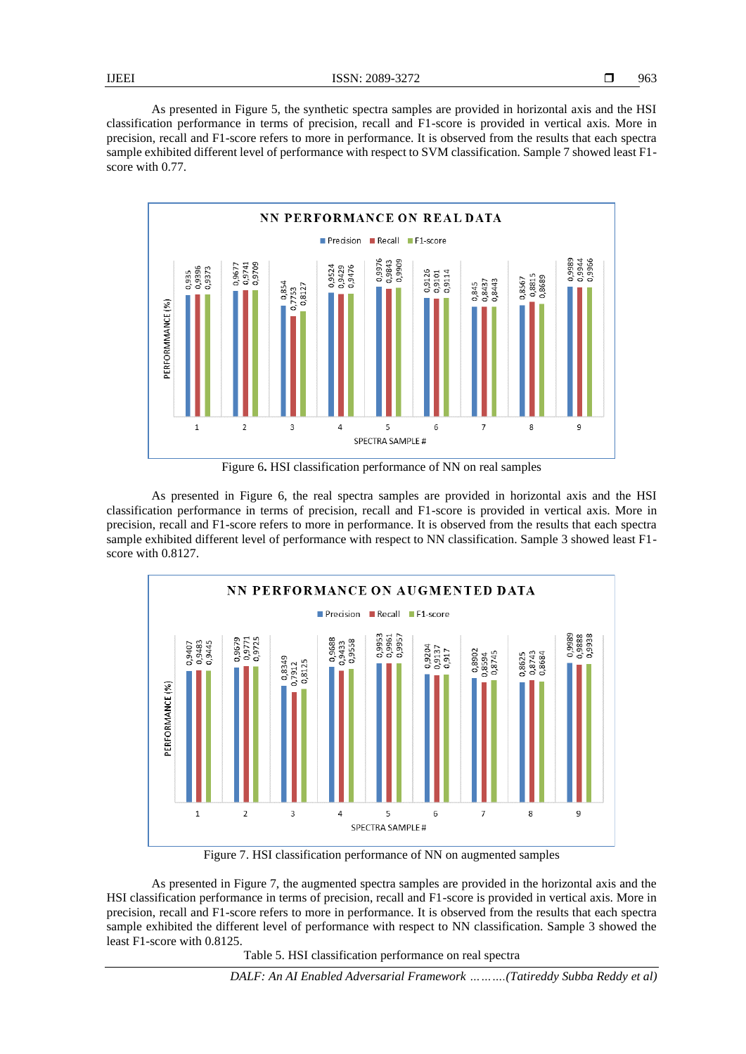As presented in Figure 5, the synthetic spectra samples are provided in horizontal axis and the HSI classification performance in terms of precision, recall and F1-score is provided in vertical axis. More in precision, recall and F1-score refers to more in performance. It is observed from the results that each spectra sample exhibited different level of performance with respect to SVM classification. Sample 7 showed least F1 score with 0.77.



Figure 6**.** HSI classification performance of NN on real samples

As presented in Figure 6, the real spectra samples are provided in horizontal axis and the HSI classification performance in terms of precision, recall and F1-score is provided in vertical axis. More in precision, recall and F1-score refers to more in performance. It is observed from the results that each spectra sample exhibited different level of performance with respect to NN classification. Sample 3 showed least F1 score with 0.8127.



Figure 7. HSI classification performance of NN on augmented samples

As presented in Figure 7, the augmented spectra samples are provided in the horizontal axis and the HSI classification performance in terms of precision, recall and F1-score is provided in vertical axis. More in precision, recall and F1-score refers to more in performance. It is observed from the results that each spectra sample exhibited the different level of performance with respect to NN classification. Sample 3 showed the least F1-score with 0.8125.

Table 5. HSI classification performance on real spectra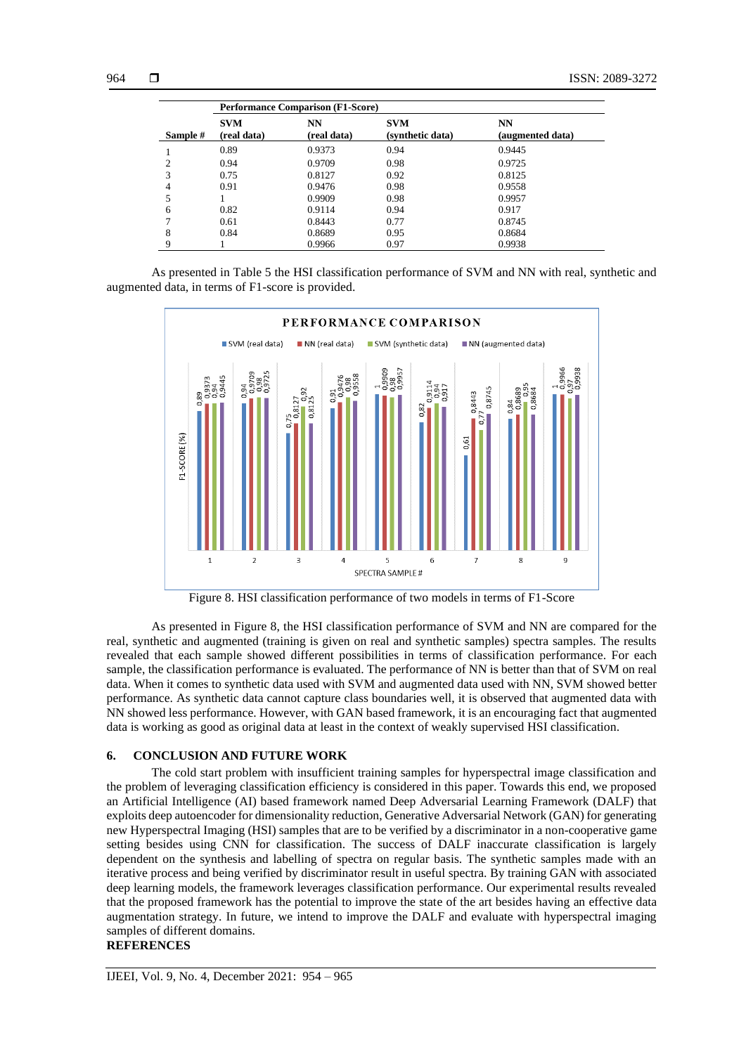|          | <b>Performance Comparison (F1-Score)</b> |                   |                                |                        |
|----------|------------------------------------------|-------------------|--------------------------------|------------------------|
| Sample # | <b>SVM</b><br>(real data)                | NN<br>(real data) | <b>SVM</b><br>(synthetic data) | NN<br>(augmented data) |
|          | 0.89                                     | 0.9373            | 0.94                           | 0.9445                 |
| 2        | 0.94                                     | 0.9709            | 0.98                           | 0.9725                 |
| 3        | 0.75                                     | 0.8127            | 0.92                           | 0.8125                 |
| 4        | 0.91                                     | 0.9476            | 0.98                           | 0.9558                 |
|          |                                          | 0.9909            | 0.98                           | 0.9957                 |
| 6        | 0.82                                     | 0.9114            | 0.94                           | 0.917                  |
|          | 0.61                                     | 0.8443            | 0.77                           | 0.8745                 |
| 8        | 0.84                                     | 0.8689            | 0.95                           | 0.8684                 |
| Q        |                                          | 0.9966            | 0.97                           | 0.9938                 |

As presented in Table 5 the HSI classification performance of SVM and NN with real, synthetic and augmented data, in terms of F1-score is provided.



Figure 8. HSI classification performance of two models in terms of F1-Score

As presented in Figure 8, the HSI classification performance of SVM and NN are compared for the real, synthetic and augmented (training is given on real and synthetic samples) spectra samples. The results revealed that each sample showed different possibilities in terms of classification performance. For each sample, the classification performance is evaluated. The performance of NN is better than that of SVM on real data. When it comes to synthetic data used with SVM and augmented data used with NN, SVM showed better performance. As synthetic data cannot capture class boundaries well, it is observed that augmented data with NN showed less performance. However, with GAN based framework, it is an encouraging fact that augmented data is working as good as original data at least in the context of weakly supervised HSI classification.

# **6. CONCLUSION AND FUTURE WORK**

The cold start problem with insufficient training samples for hyperspectral image classification and the problem of leveraging classification efficiency is considered in this paper. Towards this end, we proposed an Artificial Intelligence (AI) based framework named Deep Adversarial Learning Framework (DALF) that exploits deep autoencoder for dimensionality reduction, Generative Adversarial Network (GAN) for generating new Hyperspectral Imaging (HSI) samples that are to be verified by a discriminator in a non-cooperative game setting besides using CNN for classification. The success of DALF inaccurate classification is largely dependent on the synthesis and labelling of spectra on regular basis. The synthetic samples made with an iterative process and being verified by discriminator result in useful spectra. By training GAN with associated deep learning models, the framework leverages classification performance. Our experimental results revealed that the proposed framework has the potential to improve the state of the art besides having an effective data augmentation strategy. In future, we intend to improve the DALF and evaluate with hyperspectral imaging samples of different domains.

# **REFERENCES**